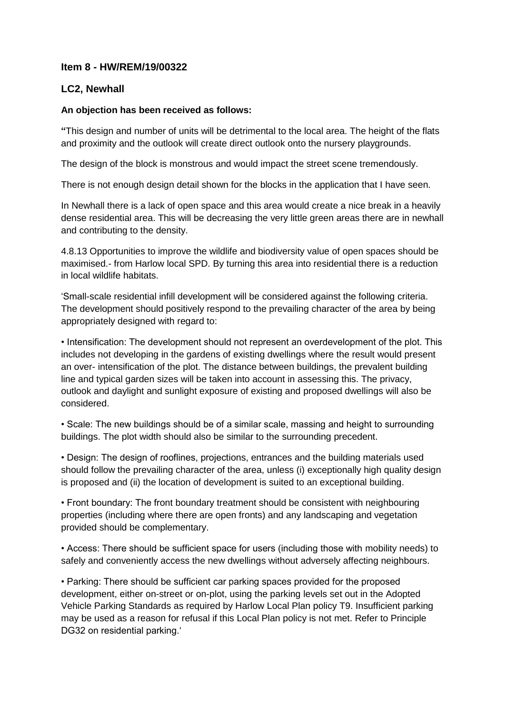## **Item 8 - HW/REM/19/00322**

# **LC2, Newhall**

### **An objection has been received as follows:**

**"**This design and number of units will be detrimental to the local area. The height of the flats and proximity and the outlook will create direct outlook onto the nursery playgrounds.

The design of the block is monstrous and would impact the street scene tremendously.

There is not enough design detail shown for the blocks in the application that I have seen.

In Newhall there is a lack of open space and this area would create a nice break in a heavily dense residential area. This will be decreasing the very little green areas there are in newhall and contributing to the density.

4.8.13 Opportunities to improve the wildlife and biodiversity value of open spaces should be maximised.- from Harlow local SPD. By turning this area into residential there is a reduction in local wildlife habitats.

'Small-scale residential infill development will be considered against the following criteria. The development should positively respond to the prevailing character of the area by being appropriately designed with regard to:

• Intensification: The development should not represent an overdevelopment of the plot. This includes not developing in the gardens of existing dwellings where the result would present an over- intensification of the plot. The distance between buildings, the prevalent building line and typical garden sizes will be taken into account in assessing this. The privacy, outlook and daylight and sunlight exposure of existing and proposed dwellings will also be considered.

• Scale: The new buildings should be of a similar scale, massing and height to surrounding buildings. The plot width should also be similar to the surrounding precedent.

• Design: The design of rooflines, projections, entrances and the building materials used should follow the prevailing character of the area, unless (i) exceptionally high quality design is proposed and (ii) the location of development is suited to an exceptional building.

• Front boundary: The front boundary treatment should be consistent with neighbouring properties (including where there are open fronts) and any landscaping and vegetation provided should be complementary.

• Access: There should be sufficient space for users (including those with mobility needs) to safely and conveniently access the new dwellings without adversely affecting neighbours.

• Parking: There should be sufficient car parking spaces provided for the proposed development, either on-street or on-plot, using the parking levels set out in the Adopted Vehicle Parking Standards as required by Harlow Local Plan policy T9. Insufficient parking may be used as a reason for refusal if this Local Plan policy is not met. Refer to Principle DG32 on residential parking.'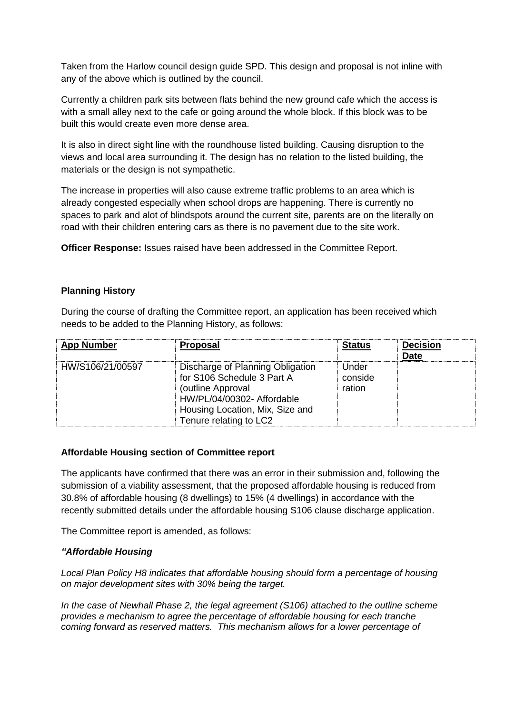Taken from the Harlow council design guide SPD. This design and proposal is not inline with any of the above which is outlined by the council.

Currently a children park sits between flats behind the new ground cafe which the access is with a small alley next to the cafe or going around the whole block. If this block was to be built this would create even more dense area.

It is also in direct sight line with the roundhouse listed building. Causing disruption to the views and local area surrounding it. The design has no relation to the listed building, the materials or the design is not sympathetic.

The increase in properties will also cause extreme traffic problems to an area which is already congested especially when school drops are happening. There is currently no spaces to park and alot of blindspots around the current site, parents are on the literally on road with their children entering cars as there is no pavement due to the site work.

**Officer Response:** Issues raised have been addressed in the Committee Report.

#### **Planning History**

During the course of drafting the Committee report, an application has been received which needs to be added to the Planning History, as follows:

| <b>App Number</b> | <b>Proposal</b>                                                                                                                                                                | <b>Status</b>              | <b>Decision</b><br><b>Date</b> |
|-------------------|--------------------------------------------------------------------------------------------------------------------------------------------------------------------------------|----------------------------|--------------------------------|
| HW/S106/21/00597  | Discharge of Planning Obligation<br>for S106 Schedule 3 Part A<br>(outline Approval<br>HW/PL/04/00302- Affordable<br>Housing Location, Mix, Size and<br>Tenure relating to LC2 | Under<br>conside<br>ration |                                |

#### **Affordable Housing section of Committee report**

The applicants have confirmed that there was an error in their submission and, following the submission of a viability assessment, that the proposed affordable housing is reduced from 30.8% of affordable housing (8 dwellings) to 15% (4 dwellings) in accordance with the recently submitted details under the affordable housing S106 clause discharge application.

The Committee report is amended, as follows:

#### *"Affordable Housing*

*Local Plan Policy H8 indicates that affordable housing should form a percentage of housing on major development sites with 30% being the target.* 

*In the case of Newhall Phase 2, the legal agreement (S106) attached to the outline scheme provides a mechanism to agree the percentage of affordable housing for each tranche coming forward as reserved matters. This mechanism allows for a lower percentage of*